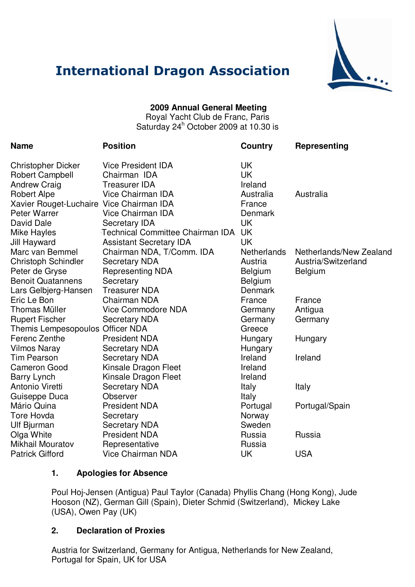

# **International Dragon Association**

## **2009 Annual General Meeting**

Royal Yacht Club de Franc, Paris Saturday 24<sup>h</sup> October 2009 at 10.30 is

| <b>Name</b>                              | <b>Position</b>                  | Country            | Representing            |
|------------------------------------------|----------------------------------|--------------------|-------------------------|
| Christopher Dicker                       | <b>Vice President IDA</b>        | <b>UK</b>          |                         |
| <b>Robert Campbell</b>                   | Chairman IDA                     | <b>UK</b>          |                         |
| <b>Andrew Craig</b>                      | <b>Treasurer IDA</b>             | Ireland            |                         |
| <b>Robert Alpe</b>                       | Vice Chairman IDA                | Australia          | Australia               |
| Xavier Rouget-Luchaire Vice Chairman IDA |                                  | France             |                         |
| Peter Warrer                             | <b>Vice Chairman IDA</b>         | Denmark            |                         |
| David Dale                               | Secretary IDA                    | <b>UK</b>          |                         |
| Mike Hayles                              | Technical Committee Chairman IDA | <b>UK</b>          |                         |
| Jill Hayward                             | <b>Assistant Secretary IDA</b>   | <b>UK</b>          |                         |
| Marc van Bemmel                          | Chairman NDA, T/Comm. IDA        | <b>Netherlands</b> | Netherlands/New Zealand |
| <b>Christoph Schindler</b>               | <b>Secretary NDA</b>             | Austria            | Austria/Switzerland     |
| Peter de Gryse                           | <b>Representing NDA</b>          | Belgium            | <b>Belgium</b>          |
| <b>Benoit Quatannens</b>                 | Secretary                        | Belgium            |                         |
| Lars Gelbjerg-Hansen                     | <b>Treasurer NDA</b>             | <b>Denmark</b>     |                         |
| Eric Le Bon                              | Chairman NDA                     | France             | France                  |
| Thomas Müller                            | <b>Vice Commodore NDA</b>        | Germany            | Antigua                 |
| <b>Rupert Fischer</b>                    | <b>Secretary NDA</b>             | Germany            | Germany                 |
| Themis Lempesopoulos Officer NDA         |                                  | Greece             |                         |
| Ferenc Zenthe                            | <b>President NDA</b>             | Hungary            | Hungary                 |
| Vilmos Naray                             | <b>Secretary NDA</b>             | Hungary            |                         |
| Tim Pearson                              | <b>Secretary NDA</b>             | Ireland            | Ireland                 |
| <b>Cameron Good</b>                      | Kinsale Dragon Fleet             | Ireland            |                         |
| Barry Lynch                              | Kinsale Dragon Fleet             | Ireland            |                         |
| Antonio Viretti                          | <b>Secretary NDA</b>             | Italy              | Italy                   |
| Guiseppe Duca                            | <b>Observer</b>                  | Italy              |                         |
| Mário Quina                              | <b>President NDA</b>             | Portugal           | Portugal/Spain          |
| <b>Tore Hovda</b>                        | Secretary                        | Norway             |                         |
| Ulf Bjurman                              | <b>Secretary NDA</b>             | Sweden             |                         |
| Olga White                               | <b>President NDA</b>             | Russia             | Russia                  |
| Mikhail Mouratov                         | Representative                   | Russia             |                         |
| <b>Patrick Gifford</b>                   | <b>Vice Chairman NDA</b>         | <b>UK</b>          | <b>USA</b>              |
|                                          |                                  |                    |                         |

#### **1. Apologies for Absence**

Poul Hoj-Jensen (Antigua) Paul Taylor (Canada) Phyllis Chang (Hong Kong), Jude Hooson (NZ), German Gill (Spain), Dieter Schmid (Switzerland), Mickey Lake (USA), Owen Pay (UK)

## **2. Declaration of Proxies**

Austria for Switzerland, Germany for Antigua, Netherlands for New Zealand, Portugal for Spain, UK for USA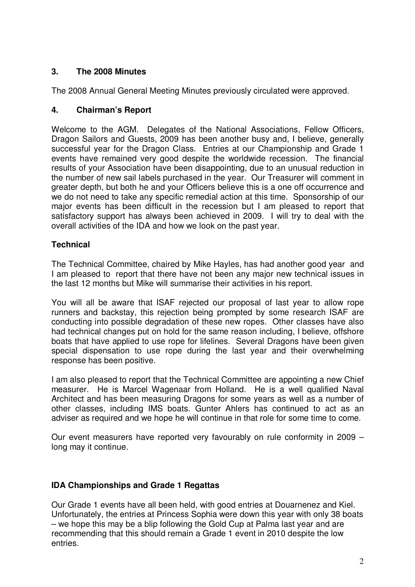# **3. The 2008 Minutes**

The 2008 Annual General Meeting Minutes previously circulated were approved.

## **4. Chairman's Report**

Welcome to the AGM. Delegates of the National Associations, Fellow Officers, Dragon Sailors and Guests, 2009 has been another busy and, I believe, generally successful year for the Dragon Class. Entries at our Championship and Grade 1 events have remained very good despite the worldwide recession. The financial results of your Association have been disappointing, due to an unusual reduction in the number of new sail labels purchased in the year. Our Treasurer will comment in greater depth, but both he and your Officers believe this is a one off occurrence and we do not need to take any specific remedial action at this time. Sponsorship of our major events has been difficult in the recession but I am pleased to report that satisfactory support has always been achieved in 2009. I will try to deal with the overall activities of the IDA and how we look on the past year.

## **Technical**

The Technical Committee, chaired by Mike Hayles, has had another good year and I am pleased to report that there have not been any major new technical issues in the last 12 months but Mike will summarise their activities in his report.

You will all be aware that ISAF rejected our proposal of last year to allow rope runners and backstay, this rejection being prompted by some research ISAF are conducting into possible degradation of these new ropes. Other classes have also had technical changes put on hold for the same reason including, I believe, offshore boats that have applied to use rope for lifelines. Several Dragons have been given special dispensation to use rope during the last year and their overwhelming response has been positive.

I am also pleased to report that the Technical Committee are appointing a new Chief measurer. He is Marcel Wagenaar from Holland. He is a well qualified Naval Architect and has been measuring Dragons for some years as well as a number of other classes, including IMS boats. Gunter Ahlers has continued to act as an adviser as required and we hope he will continue in that role for some time to come.

Our event measurers have reported very favourably on rule conformity in 2009 – long may it continue.

## **IDA Championships and Grade 1 Regattas**

Our Grade 1 events have all been held, with good entries at Douarnenez and Kiel. Unfortunately, the entries at Princess Sophia were down this year with only 38 boats – we hope this may be a blip following the Gold Cup at Palma last year and are recommending that this should remain a Grade 1 event in 2010 despite the low entries.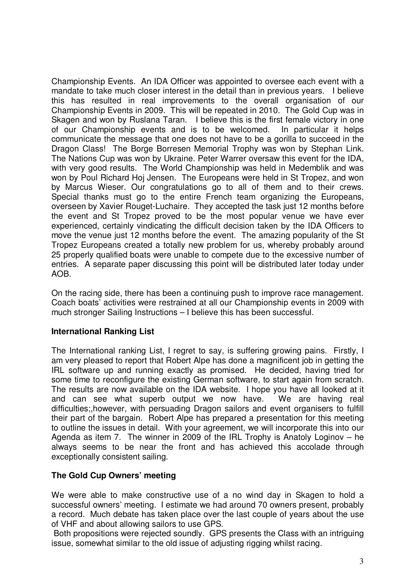Championship Events. An IDA Officer was appointed to oversee each event with a mandate to take much closer interest in the detail than in previous years. I believe this has resulted in real improvements to the overall organisation of our Championship Events in 2009. This will be repeated in 2010. The Gold Cup was in Skagen and won by Ruslana Taran. I believe this is the first female victory in one of our Championship events and is to be welcomed. In particular it helps communicate the message that one does not have to be a gorilla to succeed in the Dragon Class! The Borge Borresen Memorial Trophy was won by Stephan Link. The Nations Cup was won by Ukraine. Peter Warrer oversaw this event for the IDA, with very good results. The World Championship was held in Medemblik and was won by Poul Richard Hoj Jensen. The Europeans were held in St Tropez, and won by Marcus Wieser. Our congratulations go to all of them and to their crews. Special thanks must go to the entire French team organizing the Europeans, overseen by Xavier Rouget-Luchaire. They accepted the task just 12 months before the event and St Tropez proved to be the most popular venue we have ever experienced, certainly vindicating the difficult decision taken by the IDA Officers to move the venue just 12 months before the event. The amazing popularity of the St Tropez Europeans created a totally new problem for us, whereby probably around 25 properly qualified boats were unable to compete due to the excessive number of entries. A separate paper discussing this point will be distributed later today under AOB.

On the racing side, there has been a continuing push to improve race management. Coach boats' activities were restrained at all our Championship events in 2009 with much stronger Sailing Instructions – I believe this has been successful.

## **International Ranking List**

The International ranking List, I regret to say, is suffering growing pains. Firstly, I am very pleased to report that Robert Alpe has done a magnificent job in getting the IRL software up and running exactly as promised. He decided, having tried for some time to reconfigure the existing German software, to start again from scratch. The results are now available on the IDA website. I hope you have all looked at it and can see what superb output we now have. We are having real difficulties;,however, with persuading Dragon sailors and event organisers to fulfill their part of the bargain. Robert Alpe has prepared a presentation for this meeting to outline the issues in detail. With your agreement, we will incorporate this into our Agenda as item 7. The winner in 2009 of the IRL Trophy is Anatoly Loginov – he always seems to be near the front and has achieved this accolade through exceptionally consistent sailing.

#### **The Gold Cup Owners' meeting**

We were able to make constructive use of a no wind day in Skagen to hold a successful owners' meeting. I estimate we had around 70 owners present, probably a record. Much debate has taken place over the last couple of years about the use of VHF and about allowing sailors to use GPS.

Both propositions were rejected soundly. GPS presents the Class with an intriguing issue, somewhat similar to the old issue of adjusting rigging whilst racing.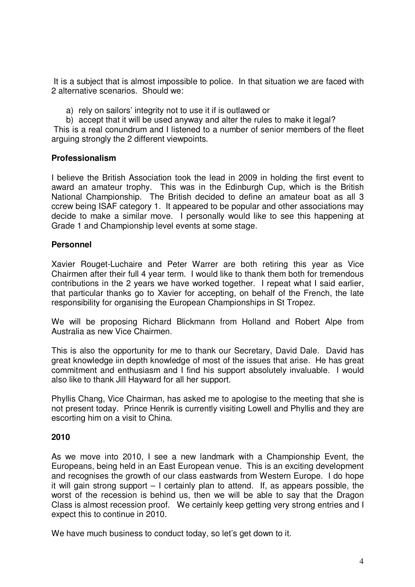It is a subject that is almost impossible to police. In that situation we are faced with 2 alternative scenarios. Should we:

- a) rely on sailors' integrity not to use it if is outlawed or
- b) accept that it will be used anyway and alter the rules to make it legal?

This is a real conundrum and I listened to a number of senior members of the fleet arguing strongly the 2 different viewpoints.

#### **Professionalism**

I believe the British Association took the lead in 2009 in holding the first event to award an amateur trophy. This was in the Edinburgh Cup, which is the British National Championship. The British decided to define an amateur boat as all 3 ccrew being ISAF category 1. It appeared to be popular and other associations may decide to make a similar move. I personally would like to see this happening at Grade 1 and Championship level events at some stage.

#### **Personnel**

Xavier Rouget-Luchaire and Peter Warrer are both retiring this year as Vice Chairmen after their full 4 year term. I would like to thank them both for tremendous contributions in the 2 years we have worked together. I repeat what I said earlier, that particular thanks go to Xavier for accepting, on behalf of the French, the late responsibility for organising the European Championships in St Tropez.

We will be proposing Richard Blickmann from Holland and Robert Alpe from Australia as new Vice Chairmen.

This is also the opportunity for me to thank our Secretary, David Dale. David has great knowledge iin depth knowledge of most of the issues that arise. He has great commitment and enthusiasm and I find his support absolutely invaluable. I would also like to thank Jill Hayward for all her support.

Phyllis Chang, Vice Chairman, has asked me to apologise to the meeting that she is not present today. Prince Henrik is currently visiting Lowell and Phyllis and they are escorting him on a visit to China.

#### **2010**

As we move into 2010, I see a new landmark with a Championship Event, the Europeans, being held in an East European venue. This is an exciting development and recognises the growth of our class eastwards from Western Europe. I do hope it will gain strong support – I certainly plan to attend. If, as appears possible, the worst of the recession is behind us, then we will be able to say that the Dragon Class is almost recession proof. We certainly keep getting very strong entries and I expect this to continue in 2010.

We have much business to conduct today, so let's get down to it.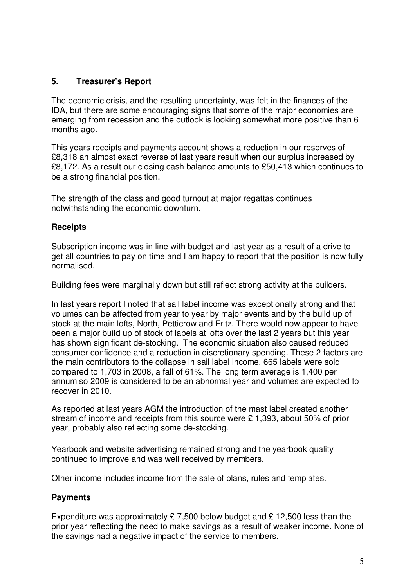## **5. Treasurer's Report**

The economic crisis, and the resulting uncertainty, was felt in the finances of the IDA, but there are some encouraging signs that some of the major economies are emerging from recession and the outlook is looking somewhat more positive than 6 months ago.

This years receipts and payments account shows a reduction in our reserves of £8,318 an almost exact reverse of last years result when our surplus increased by £8,172. As a result our closing cash balance amounts to £50,413 which continues to be a strong financial position.

The strength of the class and good turnout at major regattas continues notwithstanding the economic downturn.

## **Receipts**

Subscription income was in line with budget and last year as a result of a drive to get all countries to pay on time and I am happy to report that the position is now fully normalised.

Building fees were marginally down but still reflect strong activity at the builders.

In last years report I noted that sail label income was exceptionally strong and that volumes can be affected from year to year by major events and by the build up of stock at the main lofts, North, Petticrow and Fritz. There would now appear to have been a major build up of stock of labels at lofts over the last 2 years but this year has shown significant de-stocking. The economic situation also caused reduced consumer confidence and a reduction in discretionary spending. These 2 factors are the main contributors to the collapse in sail label income, 665 labels were sold compared to 1,703 in 2008, a fall of 61%. The long term average is 1,400 per annum so 2009 is considered to be an abnormal year and volumes are expected to recover in 2010.

As reported at last years AGM the introduction of the mast label created another stream of income and receipts from this source were £ 1,393, about 50% of prior year, probably also reflecting some de-stocking.

Yearbook and website advertising remained strong and the yearbook quality continued to improve and was well received by members.

Other income includes income from the sale of plans, rules and templates.

# **Payments**

Expenditure was approximately £7,500 below budget and £12,500 less than the prior year reflecting the need to make savings as a result of weaker income. None of the savings had a negative impact of the service to members.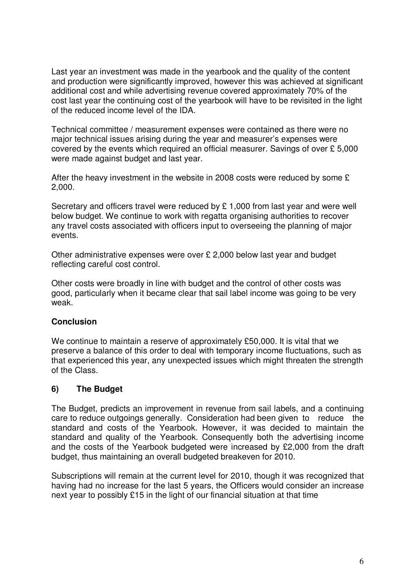Last year an investment was made in the yearbook and the quality of the content and production were significantly improved, however this was achieved at significant additional cost and while advertising revenue covered approximately 70% of the cost last year the continuing cost of the yearbook will have to be revisited in the light of the reduced income level of the IDA.

Technical committee / measurement expenses were contained as there were no major technical issues arising during the year and measurer's expenses were covered by the events which required an official measurer. Savings of over £ 5,000 were made against budget and last year.

After the heavy investment in the website in 2008 costs were reduced by some £ 2,000.

Secretary and officers travel were reduced by £ 1,000 from last year and were well below budget. We continue to work with regatta organising authorities to recover any travel costs associated with officers input to overseeing the planning of major events.

Other administrative expenses were over £ 2,000 below last year and budget reflecting careful cost control.

Other costs were broadly in line with budget and the control of other costs was good, particularly when it became clear that sail label income was going to be very weak.

## **Conclusion**

We continue to maintain a reserve of approximately £50,000. It is vital that we preserve a balance of this order to deal with temporary income fluctuations, such as that experienced this year, any unexpected issues which might threaten the strength of the Class.

## **6) The Budget**

The Budget, predicts an improvement in revenue from sail labels, and a continuing care to reduce outgoings generally. Consideration had been given to reduce the standard and costs of the Yearbook. However, it was decided to maintain the standard and quality of the Yearbook. Consequently both the advertising income and the costs of the Yearbook budgeted were increased by £2,000 from the draft budget, thus maintaining an overall budgeted breakeven for 2010.

Subscriptions will remain at the current level for 2010, though it was recognized that having had no increase for the last 5 years, the Officers would consider an increase next year to possibly £15 in the light of our financial situation at that time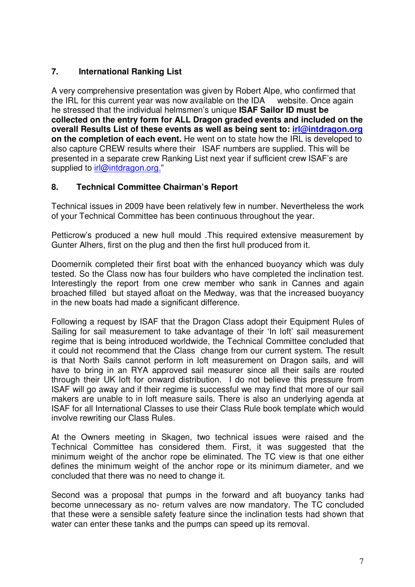# **7. International Ranking List**

A very comprehensive presentation was given by Robert Alpe, who confirmed that the IRL for this current year was now available on the IDA website. Once again he stressed that the individual helmsmen's unique **ISAF Sailor ID must be collected on the entry form for ALL Dragon graded events and included on the overall Results List of these events as well as being sent to: irl@intdragon.org on the completion of each event.** He went on to state how the IRL is developed to also capture CREW results where their ISAF numbers are supplied. This will be presented in a separate crew Ranking List next year if sufficient crew ISAF's are supplied to irl@intdragon.org."

## **8. Technical Committee Chairman's Report**

Technical issues in 2009 have been relatively few in number. Nevertheless the work of your Technical Committee has been continuous throughout the year.

Petticrow's produced a new hull mould .This required extensive measurement by Gunter Alhers, first on the plug and then the first hull produced from it.

Doomernik completed their first boat with the enhanced buoyancy which was duly tested. So the Class now has four builders who have completed the inclination test. Interestingly the report from one crew member who sank in Cannes and again broached filled but stayed afloat on the Medway, was that the increased buoyancy in the new boats had made a significant difference.

Following a request by ISAF that the Dragon Class adopt their Equipment Rules of Sailing for sail measurement to take advantage of their 'In loft' sail measurement regime that is being introduced worldwide, the Technical Committee concluded that it could not recommend that the Class change from our current system. The result is that North Sails cannot perform in loft measurement on Dragon sails, and will have to bring in an RYA approved sail measurer since all their sails are routed through their UK loft for onward distribution. I do not believe this pressure from ISAF will go away and if their regime is successful we may find that more of our sail makers are unable to in loft measure sails. There is also an underlying agenda at ISAF for all International Classes to use their Class Rule book template which would involve rewriting our Class Rules.

At the Owners meeting in Skagen, two technical issues were raised and the Technical Committee has considered them. First, it was suggested that the minimum weight of the anchor rope be eliminated. The TC view is that one either defines the minimum weight of the anchor rope or its minimum diameter, and we concluded that there was no need to change it.

Second was a proposal that pumps in the forward and aft buoyancy tanks had become unnecessary as no- return valves are now mandatory. The TC concluded that these were a sensible safety feature since the inclination tests had shown that water can enter these tanks and the pumps can speed up its removal.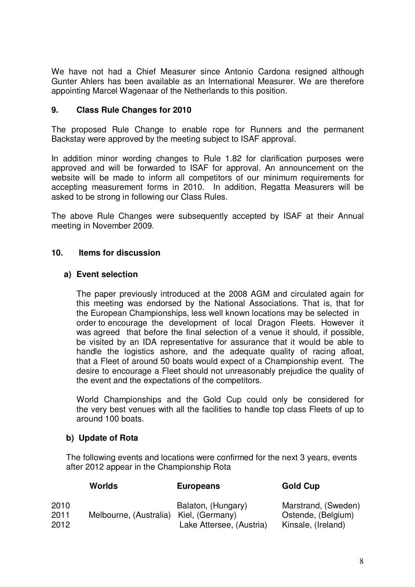We have not had a Chief Measurer since Antonio Cardona resigned although Gunter Ahlers has been available as an International Measurer. We are therefore appointing Marcel Wagenaar of the Netherlands to this position.

## **9. Class Rule Changes for 2010**

The proposed Rule Change to enable rope for Runners and the permanent Backstay were approved by the meeting subject to ISAF approval.

In addition minor wording changes to Rule 1.82 for clarification purposes were approved and will be forwarded to ISAF for approval. An announcement on the website will be made to inform all competitors of our minimum requirements for accepting measurement forms in 2010. In addition, Regatta Measurers will be asked to be strong in following our Class Rules.

The above Rule Changes were subsequently accepted by ISAF at their Annual meeting in November 2009.

#### **10. Items for discussion**

#### **a) Event selection**

The paper previously introduced at the 2008 AGM and circulated again for this meeting was endorsed by the National Associations. That is, that for the European Championships, less well known locations may be selected in order to encourage the development of local Dragon Fleets. However it was agreed that before the final selection of a venue it should, if possible, be visited by an IDA representative for assurance that it would be able to handle the logistics ashore, and the adequate quality of racing afloat, that a Fleet of around 50 boats would expect of a Championship event. The desire to encourage a Fleet should not unreasonably prejudice the quality of the event and the expectations of the competitors.

World Championships and the Gold Cup could only be considered for the very best venues with all the facilities to handle top class Fleets of up to around 100 boats.

## **b) Update of Rota**

The following events and locations were confirmed for the next 3 years, events after 2012 appear in the Championship Rota

|                      | Worlds                                 | <b>Europeans</b>                               | <b>Gold Cup</b>                                                 |
|----------------------|----------------------------------------|------------------------------------------------|-----------------------------------------------------------------|
| 2010<br>2011<br>2012 | Melbourne, (Australia) Kiel, (Germany) | Balaton, (Hungary)<br>Lake Attersee, (Austria) | Marstrand, (Sweden)<br>Ostende, (Belgium)<br>Kinsale, (Ireland) |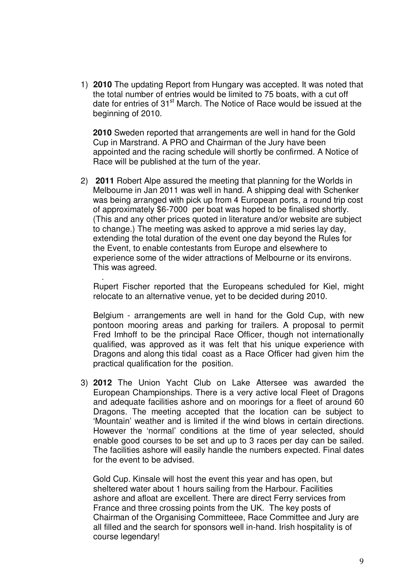1) **2010** The updating Report from Hungary was accepted. It was noted that the total number of entries would be limited to 75 boats, with a cut off date for entries of 31<sup>st</sup> March. The Notice of Race would be issued at the beginning of 2010.

**2010** Sweden reported that arrangements are well in hand for the Gold Cup in Marstrand. A PRO and Chairman of the Jury have been appointed and the racing schedule will shortly be confirmed. A Notice of Race will be published at the turn of the year.

2) **2011** Robert Alpe assured the meeting that planning for the Worlds in Melbourne in Jan 2011 was well in hand. A shipping deal with Schenker was being arranged with pick up from 4 European ports, a round trip cost of approximately \$6-7000 per boat was hoped to be finalised shortly. (This and any other prices quoted in literature and/or website are subject to change.) The meeting was asked to approve a mid series lay day, extending the total duration of the event one day beyond the Rules for the Event, to enable contestants from Europe and elsewhere to experience some of the wider attractions of Melbourne or its environs. This was agreed.

Rupert Fischer reported that the Europeans scheduled for Kiel, might relocate to an alternative venue, yet to be decided during 2010.

.

Belgium - arrangements are well in hand for the Gold Cup, with new pontoon mooring areas and parking for trailers. A proposal to permit Fred Imhoff to be the principal Race Officer, though not internationally qualified, was approved as it was felt that his unique experience with Dragons and along this tidal coast as a Race Officer had given him the practical qualification for the position.

3) **2012** The Union Yacht Club on Lake Attersee was awarded the European Championships. There is a very active local Fleet of Dragons and adequate facilities ashore and on moorings for a fleet of around 60 Dragons. The meeting accepted that the location can be subject to 'Mountain' weather and is limited if the wind blows in certain directions. However the 'normal' conditions at the time of year selected, should enable good courses to be set and up to 3 races per day can be sailed. The facilities ashore will easily handle the numbers expected. Final dates for the event to be advised.

Gold Cup. Kinsale will host the event this year and has open, but sheltered water about 1 hours sailing from the Harbour. Facilities ashore and afloat are excellent. There are direct Ferry services from France and three crossing points from the UK. The key posts of Chairman of the Organising Committeee, Race Committee and Jury are all filled and the search for sponsors well in-hand. Irish hospitality is of course legendary!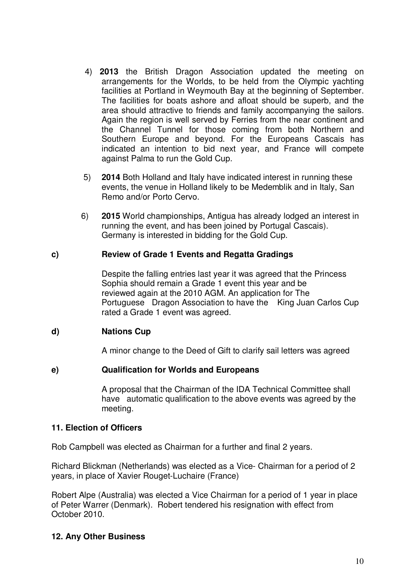- 4) **2013** the British Dragon Association updated the meeting on arrangements for the Worlds, to be held from the Olympic yachting facilities at Portland in Weymouth Bay at the beginning of September. The facilities for boats ashore and afloat should be superb, and the area should attractive to friends and family accompanying the sailors. Again the region is well served by Ferries from the near continent and the Channel Tunnel for those coming from both Northern and Southern Europe and beyond. For the Europeans Cascais has indicated an intention to bid next year, and France will compete against Palma to run the Gold Cup.
- 5) **2014** Both Holland and Italy have indicated interest in running these events, the venue in Holland likely to be Medemblik and in Italy, San Remo and/or Porto Cervo.
- 6) **2015** World championships, Antigua has already lodged an interest in running the event, and has been joined by Portugal Cascais). Germany is interested in bidding for the Gold Cup.

#### **c) Review of Grade 1 Events and Regatta Gradings**

Despite the falling entries last year it was agreed that the Princess Sophia should remain a Grade 1 event this year and be reviewed again at the 2010 AGM. An application for The Portuguese Dragon Association to have the King Juan Carlos Cup rated a Grade 1 event was agreed.

## **d) Nations Cup**

A minor change to the Deed of Gift to clarify sail letters was agreed

#### **e) Qualification for Worlds and Europeans**

A proposal that the Chairman of the IDA Technical Committee shall have automatic qualification to the above events was agreed by the meeting.

#### **11. Election of Officers**

Rob Campbell was elected as Chairman for a further and final 2 years.

Richard Blickman (Netherlands) was elected as a Vice- Chairman for a period of 2 years, in place of Xavier Rouget-Luchaire (France)

Robert Alpe (Australia) was elected a Vice Chairman for a period of 1 year in place of Peter Warrer (Denmark). Robert tendered his resignation with effect from October 2010.

## **12. Any Other Business**